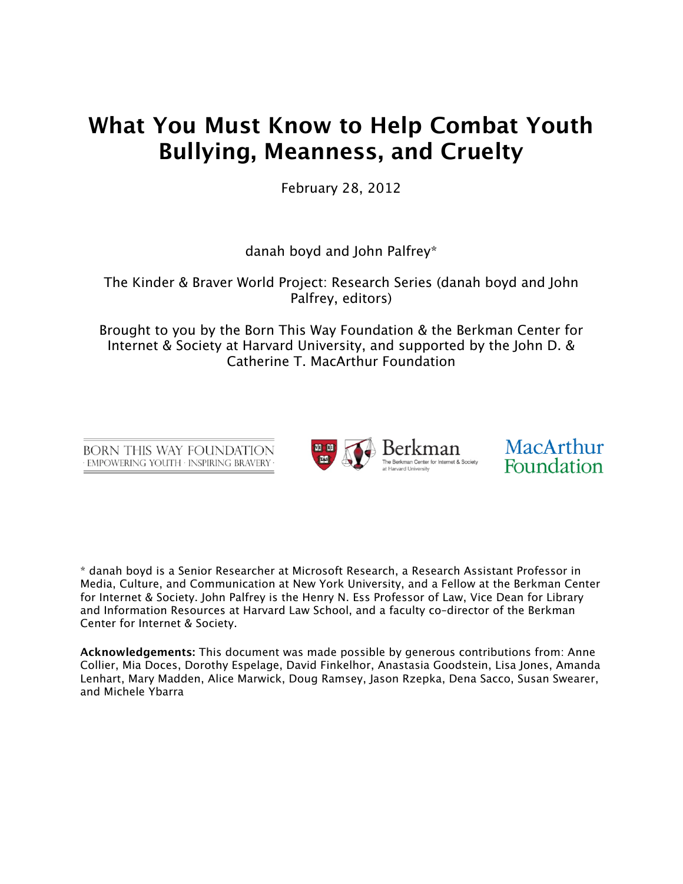# **What You Must Know to Help Combat Youth Bullying, Meanness, and Cruelty**

February 28, 2012

danah boyd and John Palfrey\*

The Kinder & Braver World Project: Research Series (danah boyd and John Palfrey, editors)

Brought to you by the Born This Way Foundation & the Berkman Center for Internet & Society at Harvard University, and supported by the John D. & Catherine T. MacArthur Foundation







\* danah boyd is a Senior Researcher at Microsoft Research, a Research Assistant Professor in Media, Culture, and Communication at New York University, and a Fellow at the Berkman Center for Internet & Society. John Palfrey is the Henry N. Ess Professor of Law, Vice Dean for Library and Information Resources at Harvard Law School, and a faculty co–director of the Berkman Center for Internet & Society.

**Acknowledgements:** This document was made possible by generous contributions from: Anne Collier, Mia Doces, Dorothy Espelage, David Finkelhor, Anastasia Goodstein, Lisa Jones, Amanda Lenhart, Mary Madden, Alice Marwick, Doug Ramsey, Jason Rzepka, Dena Sacco, Susan Swearer, and Michele Ybarra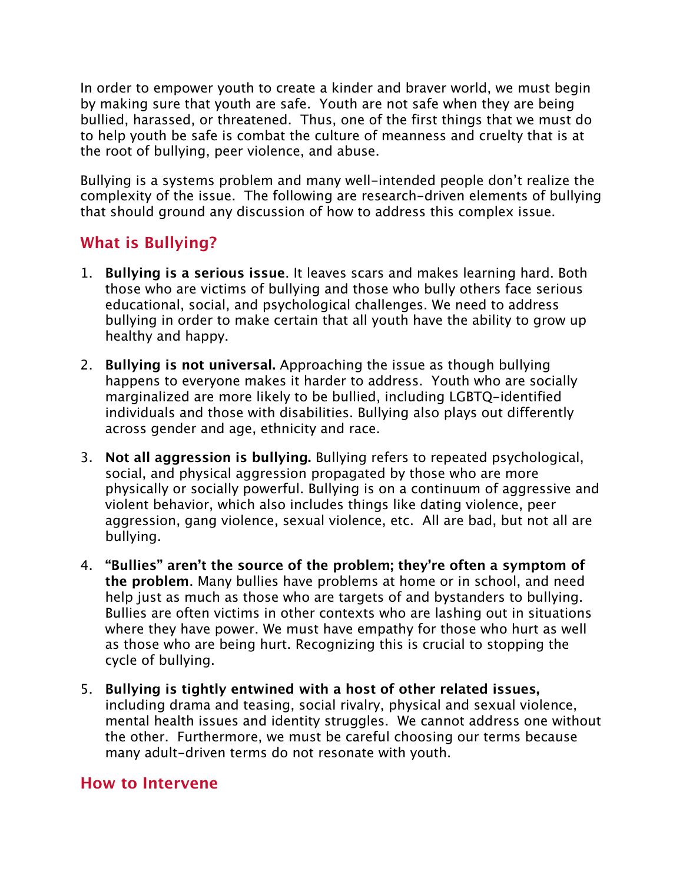In order to empower youth to create a kinder and braver world, we must begin by making sure that youth are safe. Youth are not safe when they are being bullied, harassed, or threatened. Thus, one of the first things that we must do to help youth be safe is combat the culture of meanness and cruelty that is at the root of bullying, peer violence, and abuse.

Bullying is a systems problem and many well-intended people don't realize the complexity of the issue. The following are research-driven elements of bullying that should ground any discussion of how to address this complex issue.

## **What is Bullying?**

- 1. **Bullying is a serious issue**. It leaves scars and makes learning hard. Both those who are victims of bullying and those who bully others face serious educational, social, and psychological challenges. We need to address bullying in order to make certain that all youth have the ability to grow up healthy and happy.
- 2. **Bullying is not universal.** Approaching the issue as though bullying happens to everyone makes it harder to address. Youth who are socially marginalized are more likely to be bullied, including LGBTQ-identified individuals and those with disabilities. Bullying also plays out differently across gender and age, ethnicity and race.
- 3. **Not all aggression is bullying.** Bullying refers to repeated psychological, social, and physical aggression propagated by those who are more physically or socially powerful. Bullying is on a continuum of aggressive and violent behavior, which also includes things like dating violence, peer aggression, gang violence, sexual violence, etc. All are bad, but not all are bullying.
- 4. **"Bullies" aren't the source of the problem; they're often a symptom of the problem**. Many bullies have problems at home or in school, and need help just as much as those who are targets of and bystanders to bullying. Bullies are often victims in other contexts who are lashing out in situations where they have power. We must have empathy for those who hurt as well as those who are being hurt. Recognizing this is crucial to stopping the cycle of bullying.
- 5. **Bullying is tightly entwined with a host of other related issues,** including drama and teasing, social rivalry, physical and sexual violence, mental health issues and identity struggles. We cannot address one without the other. Furthermore, we must be careful choosing our terms because many adult-driven terms do not resonate with youth.

#### **How to Intervene**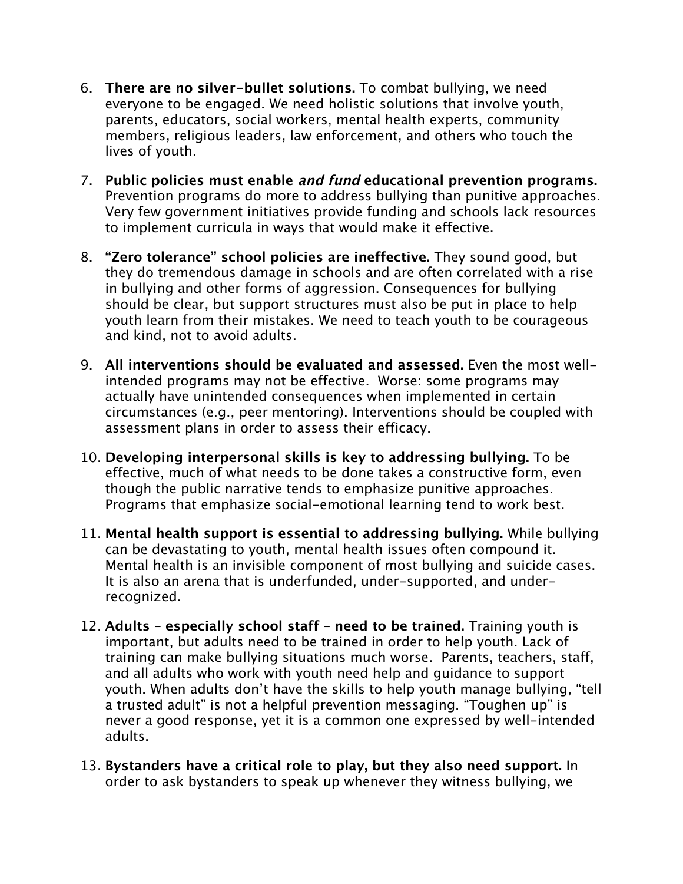- 6. **There are no silver-bullet solutions.** To combat bullying, we need everyone to be engaged. We need holistic solutions that involve youth, parents, educators, social workers, mental health experts, community members, religious leaders, law enforcement, and others who touch the lives of youth.
- 7. **Public policies must enable and fund educational prevention programs.** Prevention programs do more to address bullying than punitive approaches. Very few government initiatives provide funding and schools lack resources to implement curricula in ways that would make it effective.
- 8. **"Zero tolerance" school policies are ineffective.** They sound good, but they do tremendous damage in schools and are often correlated with a rise in bullying and other forms of aggression. Consequences for bullying should be clear, but support structures must also be put in place to help youth learn from their mistakes. We need to teach youth to be courageous and kind, not to avoid adults.
- 9. **All interventions should be evaluated and assessed.** Even the most wellintended programs may not be effective. Worse: some programs may actually have unintended consequences when implemented in certain circumstances (e.g., peer mentoring). Interventions should be coupled with assessment plans in order to assess their efficacy.
- 10. **Developing interpersonal skills is key to addressing bullying.** To be effective, much of what needs to be done takes a constructive form, even though the public narrative tends to emphasize punitive approaches. Programs that emphasize social-emotional learning tend to work best.
- 11. **Mental health support is essential to addressing bullying.** While bullying can be devastating to youth, mental health issues often compound it. Mental health is an invisible component of most bullying and suicide cases. It is also an arena that is underfunded, under-supported, and underrecognized.
- 12. **Adults – especially school staff – need to be trained.** Training youth is important, but adults need to be trained in order to help youth. Lack of training can make bullying situations much worse. Parents, teachers, staff, and all adults who work with youth need help and guidance to support youth. When adults don't have the skills to help youth manage bullying, "tell a trusted adult" is not a helpful prevention messaging. "Toughen up" is never a good response, yet it is a common one expressed by well-intended adults.
- 13. **Bystanders have a critical role to play, but they also need support.** In order to ask bystanders to speak up whenever they witness bullying, we